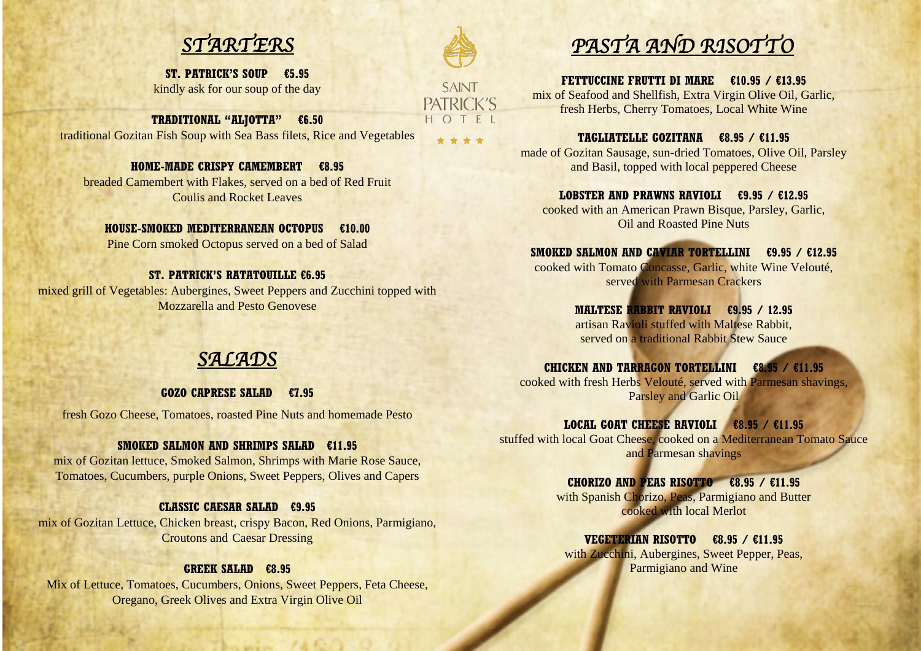

# *SALADS*

**ST. PATRICK'S SOUP €5.95** kindly ask for our soup of the day

**TRADITIONAL "ALJOTTA" €6.50** traditional Gozitan Fish Soup with Sea Bass filets, Rice and Vegetables

**HOME-MADE CRISPY CAMEMBERT €8.95** breaded Camembert with Flakes, served on a bed of Red Fruit Coulis and Rocket Leaves

## **HOUSE-SMOKED MEDITERRANEAN OCTOPUS €10.00**

Pine Corn smoked Octopus served on a bed of Salad

## **ST. PATRICK'S RATATOUILLE €6.95**

mixed grill of Vegetables: Aubergines, Sweet Peppers and Zucchini topped with Mozzarella and Pesto Genovese

# **GOZO CAPRESE SALAD €7.95**

fresh Gozo Cheese, Tomatoes, roasted Pine Nuts and homemade Pesto

# **SMOKED SALMON AND SHRIMPS SALAD €11.95**

mix of Gozitan lettuce, Smoked Salmon, Shrimps with Marie Rose Sauce, Tomatoes, Cucumbers, purple Onions, Sweet Peppers, Olives and Capers

# **CLASSIC CAESAR SALAD €9.95**

**MALTESE RABBIT RAVIOLI €9.95 / 12.95** artisan Ravioli stuffed with Maltese Rabbit, served on a traditional Rabbit Stew Sauce

mix of Gozitan Lettuce, Chicken breast, crispy Bacon, Red Onions, Parmigiano, Croutons and Caesar Dressing

# **GREEK SALAD €8.95**

Mix of Lettuce, Tomatoes, Cucumbers, Onions, Sweet Peppers, Feta Cheese, Oregano, Greek Olives and Extra Virgin Olive Oil



**SAINT** PATRICK'S HOTEL

\* \* \* \*

**FETTUCCINE FRUTTI DI MARE €10.95 / €13.95** mix of Seafood and Shellfish, Extra Virgin Olive Oil, Garlic, fresh Herbs, Cherry Tomatoes, Local White Wine

**TAGLIATELLE GOZITANA €8.95 / €11.95** made of Gozitan Sausage, sun-dried Tomatoes, Olive Oil, Parsley and Basil, topped with local peppered Cheese

**LOBSTER AND PRAWNS RAVIOLI €9.95 / €12.95** cooked with an American Prawn Bisque, Parsley, Garlic, Oil and Roasted Pine Nuts

**SMOKED SALMON AND CAVIAR TORTELLINI €9.95 / €12.95** cooked with Tomato Concasse, Garlic, white Wine Velouté, served with Parmesan Crackers

**CHICKEN AND TARRAGON TORTELLINI €8.95 / €11.95** cooked with fresh Herbs Velouté, served with Parmesan shavings, Parsley and Garlic Oil

**LOCAL GOAT CHEESE RAVIOLI €8.95 / €11.95** stuffed with local Goat Cheese, cooked on a Mediterranean Tomato Sauce and Parmesan shavings

> **CHORIZO AND PEAS RISOTTO €8.95 / €11.95** with Spanish Chorizo, Peas, Parmigiano and Butter cooked with local Merlot

**VEGETERIAN RISOTTO €8.95 / €11.95** with Zucchini, Aubergines, Sweet Pepper, Peas, Parmigiano and Wine

*PASTA AND RISOTTO*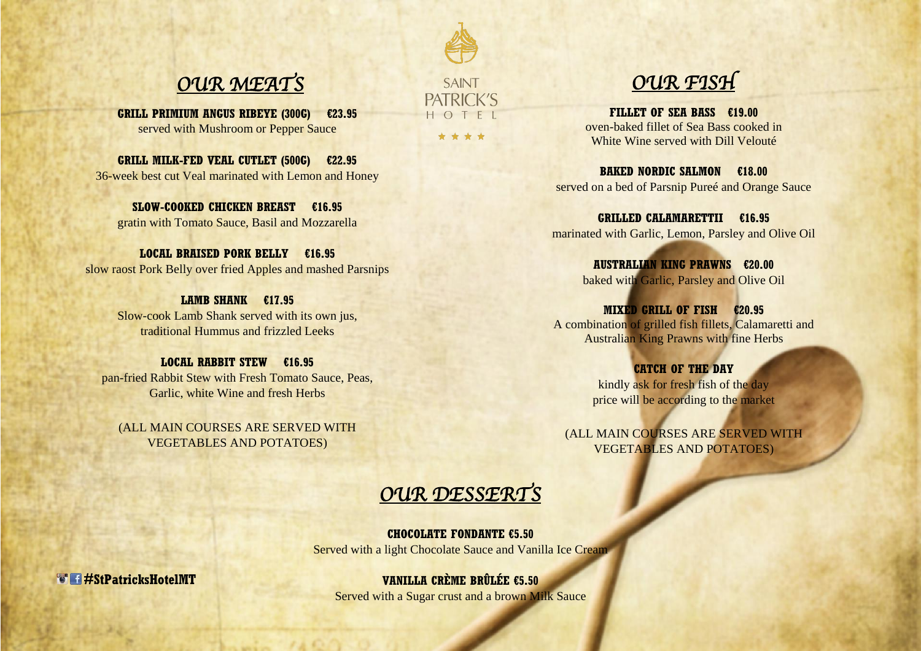**OUR MEAT'S** SAINT **OUR FISH** 

**GRILL PRIMIUM ANGUS RIBEYE (300G) €23.95** served with Mushroom or Pepper Sauce

**GRILL MILK-FED VEAL CUTLET (500G) €22.95** 36-week best cut Veal marinated with Lemon and Honey

**SLOW-COOKED CHICKEN BREAST €16.95** gratin with Tomato Sauce, Basil and Mozzarella

**LOCAL BRAISED PORK BELLY €16.95** slow raost Pork Belly over fried Apples and mashed Parsnips

> **LAMB SHANK €17.95** Slow-cook Lamb Shank served with its own jus, traditional Hummus and frizzled Leeks

**LOCAL RABBIT STEW €16.95** pan-fried Rabbit Stew with Fresh Tomato Sauce, Peas, Garlic, white Wine and fresh Herbs

**CATCH OF THE DAY** kindly ask for fresh fish of the day price will be according to the market

(ALL MAIN COURSES ARE SERVED WITH VEGETABLES AND POTATOES)

HOTF \* \* \* \*

**#StPatricksHotelMT**

**FILLET OF SEA BASS €19.00** oven-baked fillet of Sea Bass cooked in White Wine served with Dill Velouté

**BAKED NORDIC SALMON €18.00** served on a bed of Parsnip Pureé and Orange Sauce

**GRILLED CALAMARETTII €16.95** marinated with Garlic, Lemon, Parsley and Olive Oil

> **AUSTRALIAN KING PRAWNS €20.00** baked with Garlic, Parsley and Olive Oil

**MIXED GRILL OF FISH €20.95** A combination of grilled fish fillets, Calamaretti and Australian King Prawns with fine Herbs

(ALL MAIN COURSES ARE SERVED WITH VEGETABLES AND POTATOES)

**CHOCOLATE FONDANTE €5.50** Served with a light Chocolate Sauce and Vanilla Ice Cream

**VANILLA CRÈME BRÛLÉE €5.50**

Served with a Sugar crust and a brown Milk Sauce

*OUR DESSERTS*